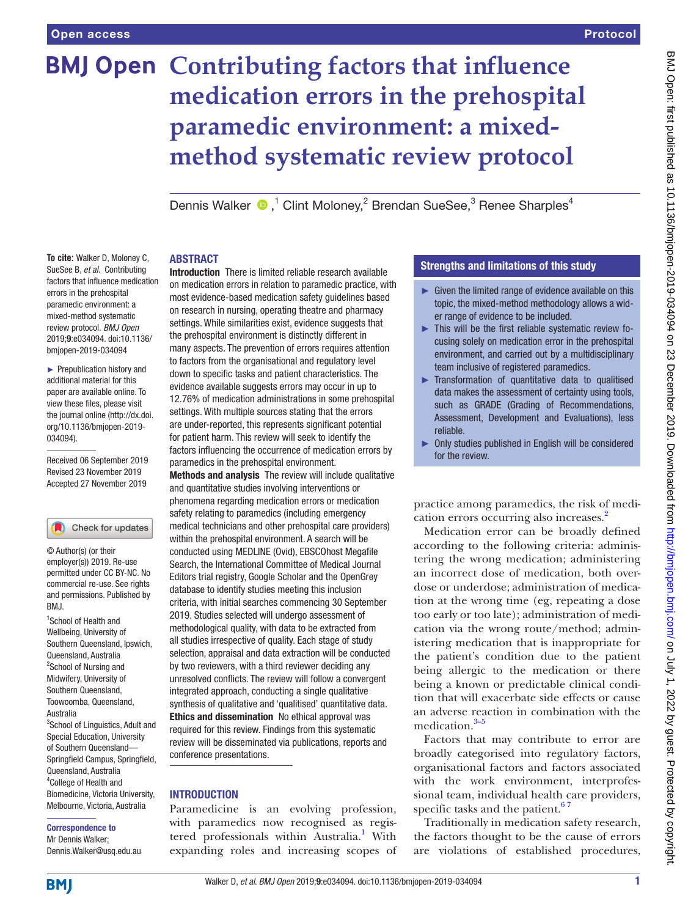# **BMJ Open Contributing factors that influence medication errors in the prehospital paramedic environment: a mixedmethod systematic review protocol**

DennisWalker  $\bigcirc$ ,<sup>1</sup> Clint Moloney,<sup>2</sup> Brendan SueSee,<sup>3</sup> Renee Sharples<sup>4</sup>

#### **ABSTRACT**

**To cite:** Walker D, Moloney C, SueSee B, *et al*. Contributing factors that influence medication errors in the prehospital paramedic environment: a mixed-method systematic review protocol. *BMJ Open* 2019;9:e034094. doi:10.1136/ bmjopen-2019-034094

► Prepublication history and additional material for this paper are available online. To view these files, please visit the journal online (http://dx.doi. org/10.1136/bmjopen-2019- 034094).

Received 06 September 2019 Revised 23 November 2019 Accepted 27 November 2019

#### Check for updates

© Author(s) (or their employer(s)) 2019. Re-use permitted under CC BY-NC. No commercial re-use. See rights and permissions. Published by BMJ.

1 School of Health and Wellbeing, University of Southern Queensland, Ipswich, Queensland, Australia <sup>2</sup>School of Nursing and Midwifery, University of Southern Queensland, Toowoomba, Queensland, Australia 3 School of Linguistics, Adult and Special Education, University of Southern Queensland— Springfield Campus, Springfield, Queensland, Australia 4 College of Health and Biomedicine, Victoria University, Melbourne, Victoria, Australia

# Correspondence to

Mr Dennis Walker; Dennis.Walker@usq.edu.au

Introduction There is limited reliable research available on medication errors in relation to paramedic practice, with most evidence-based medication safety guidelines based on research in nursing, operating theatre and pharmacy settings. While similarities exist, evidence suggests that the prehospital environment is distinctly different in many aspects. The prevention of errors requires attention to factors from the organisational and regulatory level down to specific tasks and patient characteristics. The evidence available suggests errors may occur in up to 12.76% of medication administrations in some prehospital settings. With multiple sources stating that the errors are under-reported, this represents significant potential for patient harm. This review will seek to identify the factors influencing the occurrence of medication errors by paramedics in the prehospital environment. Methods and analysis The review will include qualitative and quantitative studies involving interventions or

phenomena regarding medication errors or medication safety relating to paramedics (including emergency medical technicians and other prehospital care providers) within the prehospital environment. A search will be conducted using MEDLINE (Ovid), EBSCOhost Megafile Search, the International Committee of Medical Journal Editors trial registry, Google Scholar and the OpenGrey database to identify studies meeting this inclusion criteria, with initial searches commencing 30 September 2019. Studies selected will undergo assessment of methodological quality, with data to be extracted from all studies irrespective of quality. Each stage of study selection, appraisal and data extraction will be conducted by two reviewers, with a third reviewer deciding any unresolved conflicts. The review will follow a convergent integrated approach, conducting a single qualitative synthesis of qualitative and 'qualitised' quantitative data. Ethics and dissemination No ethical approval was required for this review. Findings from this systematic review will be disseminated via publications, reports and conference presentations.

### **INTRODUCTION**

Paramedicine is an evolving profession, with paramedics now recognised as regis-tered professionals within Australia.<sup>[1](#page-4-0)</sup> With expanding roles and increasing scopes of

## Strengths and limitations of this study

- $\blacktriangleright$  Given the limited range of evidence available on this topic, the mixed-method methodology allows a wider range of evidence to be included.
- ► This will be the first reliable systematic review focusing solely on medication error in the prehospital environment, and carried out by a multidisciplinary team inclusive of registered paramedics.
- ► Transformation of quantitative data to qualitised data makes the assessment of certainty using tools, such as GRADE (Grading of Recommendations, Assessment, Development and Evaluations), less reliable.
- Only studies published in English will be considered for the review.

practice among paramedics, the risk of medication errors occurring also increases.<sup>2</sup>

Medication error can be broadly defined according to the following criteria: administering the wrong medication; administering an incorrect dose of medication, both overdose or underdose; administration of medication at the wrong time (eg, repeating a dose too early or too late); administration of medication via the wrong route/method; administering medication that is inappropriate for the patient's condition due to the patient being allergic to the medication or there being a known or predictable clinical condition that will exacerbate side effects or cause an adverse reaction in combination with the medication.<sup>3–5</sup>

Factors that may contribute to error are broadly categorised into regulatory factors, organisational factors and factors associated with the work environment, interprofessional team, individual health care providers, specific tasks and the patient. $67$ 

Traditionally in medication safety research, the factors thought to be the cause of errors are violations of established procedures,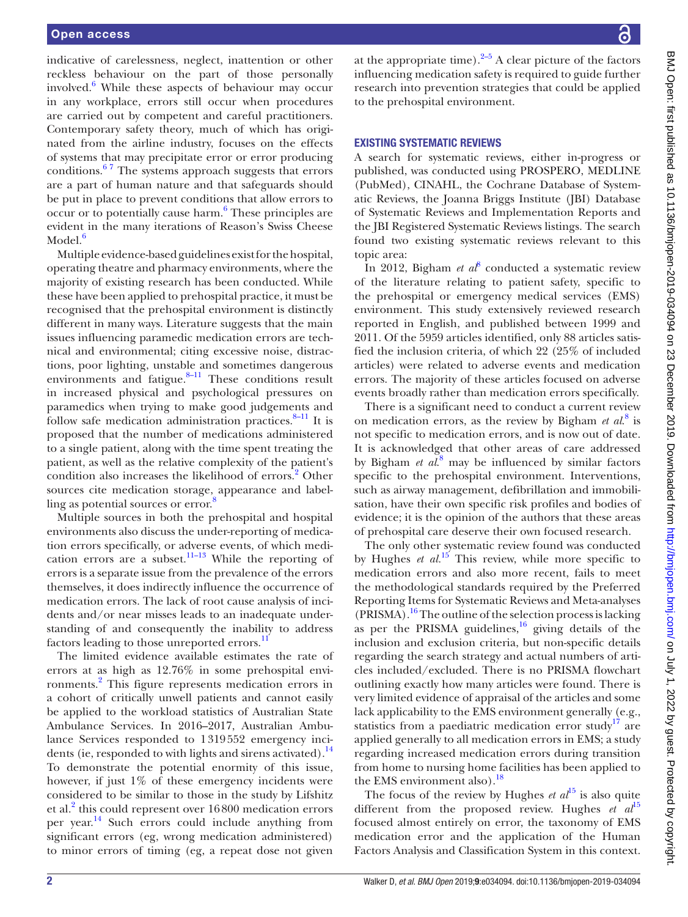indicative of carelessness, neglect, inattention or other reckless behaviour on the part of those personally involved.<sup>6</sup> While these aspects of behaviour may occur in any workplace, errors still occur when procedures are carried out by competent and careful practitioners. Contemporary safety theory, much of which has originated from the airline industry, focuses on the effects of systems that may precipitate error or error producing conditions. $67$  The systems approach suggests that errors are a part of human nature and that safeguards should be put in place to prevent conditions that allow errors to occur or to potentially cause harm.<sup>6</sup> These principles are evident in the many iterations of Reason's Swiss Cheese Model.<sup>[6](#page-4-3)</sup>

Multiple evidence-based guidelines exist for the hospital, operating theatre and pharmacy environments, where the majority of existing research has been conducted. While these have been applied to prehospital practice, it must be recognised that the prehospital environment is distinctly different in many ways. Literature suggests that the main issues influencing paramedic medication errors are technical and environmental; citing excessive noise, distractions, poor lighting, unstable and sometimes dangerous environments and fatigue. $\frac{8-11}{1}$  These conditions result in increased physical and psychological pressures on paramedics when trying to make good judgements and follow safe medication administration practices. $8-11$  It is proposed that the number of medications administered to a single patient, along with the time spent treating the patient, as well as the relative complexity of the patient's condition also increases the likelihood of errors.<sup>2</sup> Other sources cite medication storage, appearance and label-ling as potential sources or error.<sup>[8](#page-4-4)</sup>

Multiple sources in both the prehospital and hospital environments also discuss the under-reporting of medication errors specifically, or adverse events, of which medi-cation errors are a subset.<sup>[11–13](#page-4-5)</sup> While the reporting of errors is a separate issue from the prevalence of the errors themselves, it does indirectly influence the occurrence of medication errors. The lack of root cause analysis of incidents and/or near misses leads to an inadequate understanding of and consequently the inability to address factors leading to those unreported errors.<sup>[11](#page-4-5)</sup>

The limited evidence available estimates the rate of errors at as high as 12.76% in some prehospital environments.<sup>2</sup> This figure represents medication errors in a cohort of critically unwell patients and cannot easily be applied to the workload statistics of Australian State Ambulance Services. In 2016–2017, Australian Ambulance Services responded to 1319552 emergency inci-dents (ie, responded to with lights and sirens activated).<sup>[14](#page-4-6)</sup> To demonstrate the potential enormity of this issue, however, if just 1% of these emergency incidents were considered to be similar to those in the study by Lifshitz et al.<sup>[2](#page-4-1)</sup> this could represent over 16800 medication errors per year.<sup>14</sup> Such errors could include anything from significant errors (eg, wrong medication administered) to minor errors of timing (eg, a repeat dose not given

BMJ Open: first published as 10.1136/bmijopen-2019-034094 on 23 December 2019. Downloaded from http://bmjopen.bmj.com/ on July 1, 2022 by guest. Protected by copyright BMJ Open: first published as 10.1136/bmjopen-2019-034094 on 23 December 2019. Downloaded from <http://bmjopen.bmj.com/> on July 1, 2022 by guest. Protected by copyright.

at the appropriate time). $2-5$  A clear picture of the factors influencing medication safety is required to guide further research into prevention strategies that could be applied to the prehospital environment.

#### Existing systematic reviews

A search for systematic reviews, either in-progress or published, was conducted using PROSPERO, MEDLINE (PubMed), CINAHL, the Cochrane Database of Systematic Reviews, the Joanna Briggs Institute (JBI) Database of Systematic Reviews and Implementation Reports and the JBI Registered Systematic Reviews listings. The search found two existing systematic reviews relevant to this topic area:

In 2012, Bigham *et al*<sup>[8](#page-4-4)</sup> conducted a systematic review of the literature relating to patient safety, specific to the prehospital or emergency medical services (EMS) environment. This study extensively reviewed research reported in English, and published between 1999 and 2011. Of the 5959 articles identified, only 88 articles satisfied the inclusion criteria, of which 22 (25% of included articles) were related to adverse events and medication errors. The majority of these articles focused on adverse events broadly rather than medication errors specifically.

There is a significant need to conduct a current review on medication errors, as the review by Bigham *et al.*<sup>[8](#page-4-4)</sup> is not specific to medication errors, and is now out of date. It is acknowledged that other areas of care addressed by Bigham *et*  $a\overline{l}^8$  $a\overline{l}^8$  may be influenced by similar factors specific to the prehospital environment. Interventions, such as airway management, defibrillation and immobilisation, have their own specific risk profiles and bodies of evidence; it is the opinion of the authors that these areas of prehospital care deserve their own focused research.

The only other systematic review found was conducted by Hughes *et al.*[15](#page-4-7) This review, while more specific to medication errors and also more recent, fails to meet the methodological standards required by the Preferred Reporting Items for Systematic Reviews and Meta-analyses  $(PRISMA)$ .<sup>16</sup> The outline of the selection process is lacking as per the PRISMA guidelines, $16$  giving details of the inclusion and exclusion criteria, but non-specific details regarding the search strategy and actual numbers of articles included/excluded. There is no PRISMA flowchart outlining exactly how many articles were found. There is very limited evidence of appraisal of the articles and some lack applicability to the EMS environment generally (e.g., statistics from a paediatric medication error study<sup>[17](#page-4-9)</sup> are applied generally to all medication errors in EMS; a study regarding increased medication errors during transition from home to nursing home facilities has been applied to the EMS environment also). $^{18}$  $^{18}$  $^{18}$ 

The focus of the review by Hughes  $et al^{15}$  is also quite different from the proposed review. Hughes *et al*<sup>[15](#page-4-7)</sup> focused almost entirely on error, the taxonomy of EMS medication error and the application of the Human Factors Analysis and Classification System in this context.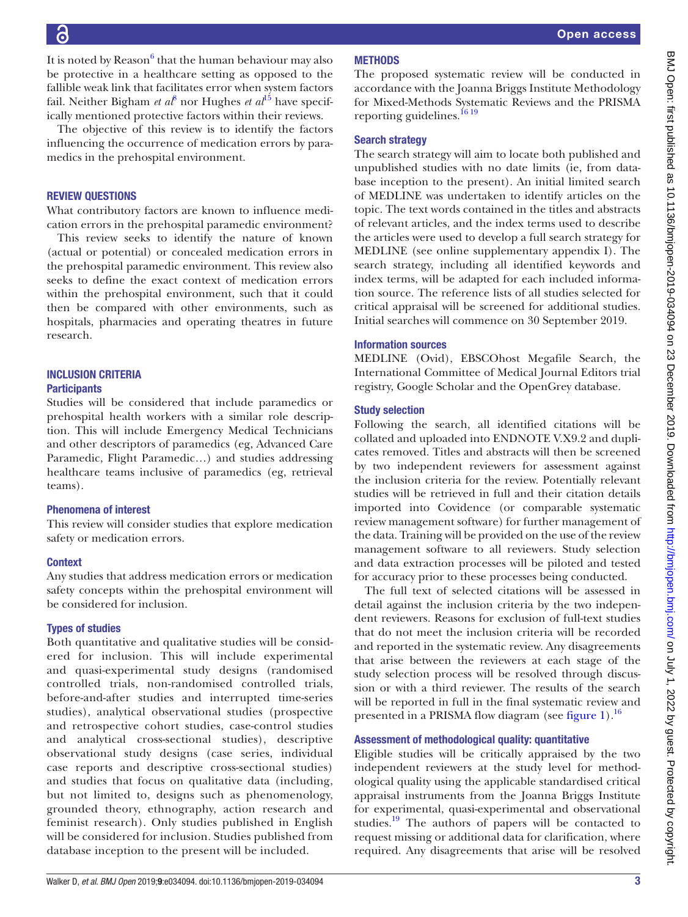It is noted by  $\text{Reason}^6$  $\text{Reason}^6$  that the human behaviour may also be protective in a healthcare setting as opposed to the fallible weak link that facilitates error when system factors fail. Neither Bigham *et al*<sup>[8](#page-4-4)</sup> nor Hughes *et al*<sup>[15](#page-4-7)</sup> have specifically mentioned protective factors within their reviews.

The objective of this review is to identify the factors influencing the occurrence of medication errors by paramedics in the prehospital environment.

#### Review questions

What contributory factors are known to influence medication errors in the prehospital paramedic environment?

This review seeks to identify the nature of known (actual or potential) or concealed medication errors in the prehospital paramedic environment. This review also seeks to define the exact context of medication errors within the prehospital environment, such that it could then be compared with other environments, such as hospitals, pharmacies and operating theatres in future research.

#### Inclusion criteria **Participants**

Studies will be considered that include paramedics or prehospital health workers with a similar role description. This will include Emergency Medical Technicians and other descriptors of paramedics (eg, Advanced Care Paramedic, Flight Paramedic…) and studies addressing healthcare teams inclusive of paramedics (eg, retrieval teams).

#### Phenomena of interest

This review will consider studies that explore medication safety or medication errors.

#### **Context**

Any studies that address medication errors or medication safety concepts within the prehospital environment will be considered for inclusion.

### Types of studies

Both quantitative and qualitative studies will be considered for inclusion. This will include experimental and quasi-experimental study designs (randomised controlled trials, non-randomised controlled trials, before-and-after studies and interrupted time-series studies), analytical observational studies (prospective and retrospective cohort studies, case-control studies and analytical cross-sectional studies), descriptive observational study designs (case series, individual case reports and descriptive cross-sectional studies) and studies that focus on qualitative data (including, but not limited to, designs such as phenomenology, grounded theory, ethnography, action research and feminist research). Only studies published in English will be considered for inclusion. Studies published from database inception to the present will be included.

## **METHODS**

The proposed systematic review will be conducted in accordance with the Joanna Briggs Institute Methodology for Mixed-Methods Systematic Reviews and the PRISMA reporting guidelines.<sup>16 19</sup>

#### Search strategy

The search strategy will aim to locate both published and unpublished studies with no date limits (ie, from database inception to the present). An initial limited search of MEDLINE was undertaken to identify articles on the topic. The text words contained in the titles and abstracts of relevant articles, and the index terms used to describe the articles were used to develop a full search strategy for MEDLINE (see [online supplementary appendix I\)](https://dx.doi.org/10.1136/bmjopen-2019-034094). The search strategy, including all identified keywords and index terms, will be adapted for each included information source. The reference lists of all studies selected for critical appraisal will be screened for additional studies. Initial searches will commence on 30 September 2019.

#### Information sources

MEDLINE (Ovid), EBSCOhost Megafile Search, the International Committee of Medical Journal Editors trial registry, Google Scholar and the OpenGrey database.

#### Study selection

Following the search, all identified citations will be collated and uploaded into ENDNOTE V.X9.2 and duplicates removed. Titles and abstracts will then be screened by two independent reviewers for assessment against the inclusion criteria for the review. Potentially relevant studies will be retrieved in full and their citation details imported into Covidence (or comparable systematic review management software) for further management of the data. Training will be provided on the use of the review management software to all reviewers. Study selection and data extraction processes will be piloted and tested for accuracy prior to these processes being conducted.

The full text of selected citations will be assessed in detail against the inclusion criteria by the two independent reviewers. Reasons for exclusion of full-text studies that do not meet the inclusion criteria will be recorded and reported in the systematic review. Any disagreements that arise between the reviewers at each stage of the study selection process will be resolved through discussion or with a third reviewer. The results of the search will be reported in full in the final systematic review and presented in a PRISMA flow diagram (see [figure](#page-3-0) 1).<sup>16</sup>

#### Assessment of methodological quality: quantitative

Eligible studies will be critically appraised by the two independent reviewers at the study level for methodological quality using the applicable standardised critical appraisal instruments from the Joanna Briggs Institute for experimental, quasi-experimental and observational studies.<sup>19</sup> The authors of papers will be contacted to request missing or additional data for clarification, where required. Any disagreements that arise will be resolved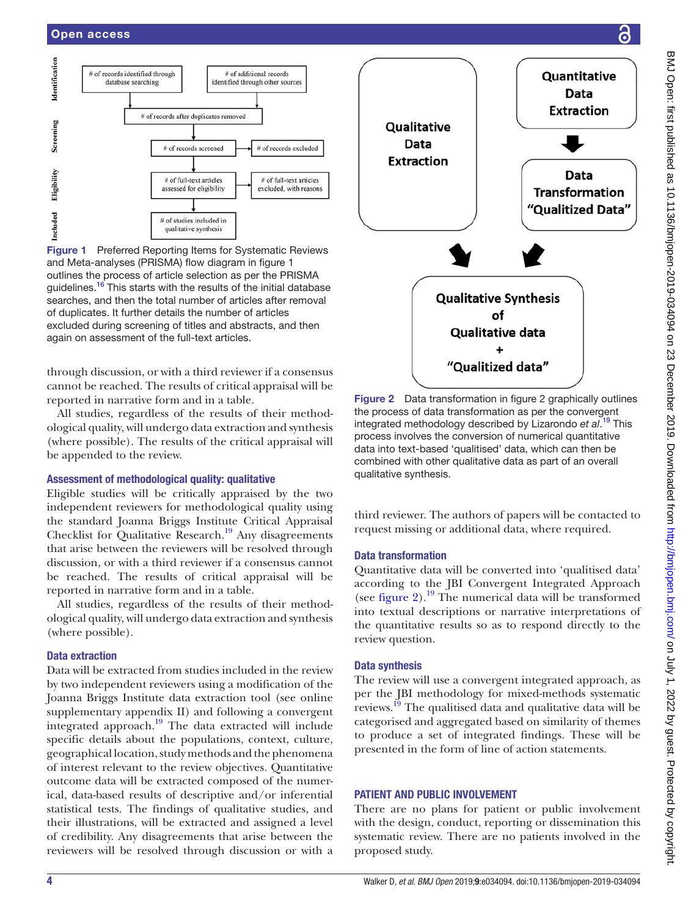

<span id="page-3-0"></span>**Figure 1** Preferred Reporting Items for Systematic Reviews and Meta-analyses (PRISMA) flow diagram in figure 1 outlines the process of article selection as per the PRISMA guidelines.<sup>[16](#page-4-8)</sup> This starts with the results of the initial database searches, and then the total number of articles after removal of duplicates. It further details the number of articles excluded during screening of titles and abstracts, and then again on assessment of the full-text articles.

through discussion, or with a third reviewer if a consensus cannot be reached. The results of critical appraisal will be reported in narrative form and in a table.

All studies, regardless of the results of their methodological quality, will undergo data extraction and synthesis (where possible). The results of the critical appraisal will be appended to the review.

#### Assessment of methodological quality: qualitative

Eligible studies will be critically appraised by the two independent reviewers for methodological quality using the standard Joanna Briggs Institute Critical Appraisal Checklist for Qualitative Research[.19](#page-4-11) Any disagreements that arise between the reviewers will be resolved through discussion, or with a third reviewer if a consensus cannot be reached. The results of critical appraisal will be reported in narrative form and in a table.

All studies, regardless of the results of their methodological quality, will undergo data extraction and synthesis (where possible).

### Data extraction

Data will be extracted from studies included in the review by two independent reviewers using a modification of the Joanna Briggs Institute data extraction tool (see [online](https://dx.doi.org/10.1136/bmjopen-2019-034094) [supplementary appendix II](https://dx.doi.org/10.1136/bmjopen-2019-034094)) and following a convergent integrated approach. $19$  The data extracted will include specific details about the populations, context, culture, geographical location, study methods and the phenomena of interest relevant to the review objectives. Quantitative outcome data will be extracted composed of the numerical, data-based results of descriptive and/or inferential statistical tests. The findings of qualitative studies, and their illustrations, will be extracted and assigned a level of credibility. Any disagreements that arise between the reviewers will be resolved through discussion or with a



<span id="page-3-1"></span>Figure 2 Data transformation in figure 2 graphically outlines the process of data transformation as per the convergent integrated methodology described by Lizarondo *et al*. [19](#page-4-11) This process involves the conversion of numerical quantitative data into text-based 'qualitised' data, which can then be combined with other qualitative data as part of an overall qualitative synthesis.

third reviewer. The authors of papers will be contacted to request missing or additional data, where required.

### Data transformation

Quantitative data will be converted into 'qualitised data' according to the JBI Convergent Integrated Approach (see [figure](#page-3-1) 2).<sup>[19](#page-4-11)</sup> The numerical data will be transformed into textual descriptions or narrative interpretations of the quantitative results so as to respond directly to the review question.

### Data synthesis

The review will use a convergent integrated approach, as per the JBI methodology for mixed-methods systematic reviews.<sup>19</sup> The qualitised data and qualitative data will be categorised and aggregated based on similarity of themes to produce a set of integrated findings. These will be presented in the form of line of action statements.

#### Patient and public involvement

There are no plans for patient or public involvement with the design, conduct, reporting or dissemination this systematic review. There are no patients involved in the proposed study.